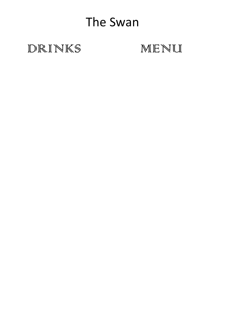# The Swan

### DRINKS

## MENU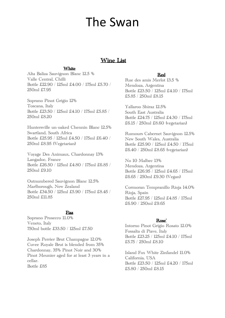## The Swan

#### Wine List

#### White

Alta Baliza Sauvignon Blanc 12.5 % Valle Central, Chilli Bottle £22.90 / 125ml £4.00 / 175ml £5.70 / 250ml £7.95

Soprano Pinot Grigio 12% Toscana, Italy Bottle £23.50 / 125ml £4.10 / 175ml £5.85 / 250ml £8.20

Huntersville un-oaked Chennin Blanc 12.5% Swartland, South Africa Bottle £25.95 / 125ml £4.50 / 175ml £6.40 / 250ml £8.95 (Vegetarian)

Voyage Des Animaux, Chardonnay 13% Langadoc, France Bottle £26.50 / 125ml £4.80 / 175ml £6.85 / 250ml £9.10

Outnumbered Sauvignon Blanc 12.5% Marlborough, New Zealand Bottle £34.50 / 125ml £5.90 / 175ml £8.45 / 250ml £11.85

#### Fizz

Soprano Prosecco 11.0% Veneto, Italy 750ml bottle £33.50 / 125ml £7.50

Joseph Perrier Brut Champagne 12.0% Cuvee Royale Brut is blended from 35% Chardonnay, 35% Pinot Noir and 30% Pinot Meunier aged for at least 3 years in a cellar. Bottle £85

#### Red

Rue des amis Merlot 13.5 % Mendoza, Argentina Bottle £23.50 / 125ml £4.10 / 175ml £5.85 / 250ml £8.15

Yallaroo Shiraz 12.5% South East Australia Bottle £24.75 / 125ml £4.30 / 175ml £6.15 / 250ml £8.60 (vegetarian)

Rumours Cabernet Sauvignon 12.5% New South Wales, Australia Bottle £25.90 / 125ml £4.50 / 175ml £6.40 / 250ml £8.65 (vegetarian)

No 10 Malbec 13% Mendoza, Argentina Bottle £26.95 / 125ml £4.65 / 175ml £6.65 / 250ml £9.30 (Vegan)

Cormoran Tempranillo Rioja 14.0% Rioja, Spain Bottle £27.95 / 125ml £4.85 / 175ml £6.90 / 250ml £9.65

#### Rose'

Intorno Pinot Grigio Rosato 12.0% Fossalta di Piave, Italy Bottle £23.25 / 125ml £4.10 / 175ml £5.75 / 250ml £8.10

Island Fox White Zinfandel 11.0% California, USA Bottle £23.50 / 125ml £4.20 / 175ml £5.80 / 250ml £8.15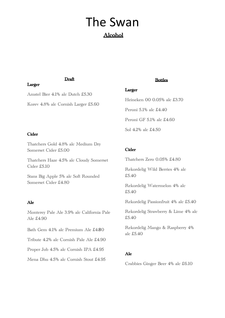### The Swan Alcohol

#### Draft

Amstel Bier 4.1% alc Dutch £5.30

Korev 4.8% alc Cornish Larger £5.60

#### Cider

Larger

Thatchers Gold 4.8% alc Medium Dry Somerset Cider £5.00

Thatchers Haze 4.5% alc Cloudy Somerset Cider £5.10

Stans Big Apple 5% alc Soft Rounded Somerset Cider £4.80

#### Ale

Monterey Pale Ale 3.9% alc California Pale Ale £4.90

Bath Gem 4.1% alc Premium Ale £4.80

Tribute 4.2% alc Cornish Pale Ale £4.90

Proper Job 4.5% alc Cornish IPA £4.95

Mena Dhu 4.5% alc Cornish Stout £4.95

#### Bottles

#### Larger

Heineken 00 0.05% alc £3.70 Peroni 5.1% alc £4.40 Peroni GF 5.1% alc £4.60 Sol 4.2% alc £4.50

#### Cider

Thatchers Zero 0.05% £4.80

Rekordelig Wild Berries 4% alc £5.40

Rekordelig Watermelon 4% alc £5.40

Rekordelig Passionfruit 4% alc £5.40

Rekordelig Strawberry & Lime 4% alc £5.40

Rekordelig Mango & Raspberry 4% alc £5.40

#### Ale

Crabbies Ginger Beer 4% alc £6.10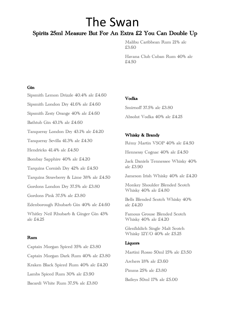### The Swan Spirits 25ml Measure But For An Extra £2 You Can Double Up

Malibu Caribbean Rum 21% alc £3.60

Havana Club Cuban Rum 40% alc £4.50

#### Gin

Sipsmith Lemon Drizzle 40.4% alc £4.60

Sipsmith London Dry 41.6% alc £4.60

Sipsmith Zesty Orange 40% alc £4.60

Bathtub Gin 43.1% alc £4.60

Tanqueray London Dry 43.1% alc £4.20

Tanqueray Sevilla 41.3% alc £4.30

Hendricks 41.4% alc £4.50

Bombay Sapphire 40% alc £4.20

Tarquins Cornish Dry 42% alc £4.50

Tarquins Strawberry & Lime 38% alc £4.50

Gordons London Dry 37.5% alc £3.80

Gordons Pink 37.5% alc £3.80

Edenborough Rhubarb Gin 40% alc £4.60

Whitley Neil Rhubarb & Ginger Gin 43% alc £4.25

#### Rum

Captain Morgan Spiced 35% alc £3.80 Captain Morgan Dark Rum 40% alc £3.80 Kraken Black Spiced Rum 40% alc £4.20 Lambs Spiced Rum 30% alc £3.90 Bacardi White Rum 37.5% alc £3.80

#### Vodka

Smirnoff 37.5% alc £3.80 Absolut Vodka 40% alc £4.25

#### Whisky & Brandy

Rémy Martin VSOP 40% alc £4.50

Hennessy Cognac 40% alc £4.50

Jack Daniels Tennessee Whisky 40% alc £3.90

Jameson Irish Whisky 40% alc £4.20

Monkey Shoulder Blended Scotch Whisky 40% alc £4.80

Bells Blended Scotch Whisky 40% alc £4.20

Famous Grouse Blended Scotch Whisky 40% alc £4.20

Glenfiddich Single Malt Scotch Whisky 12Y/O 40% alc £5.25

#### Liquors

Martini Rosso 50ml 15% alc £3.50 Archers 18% alc £3.60 Pimms 25% alc £3.80

Baileys 50ml 17% alc £5.00